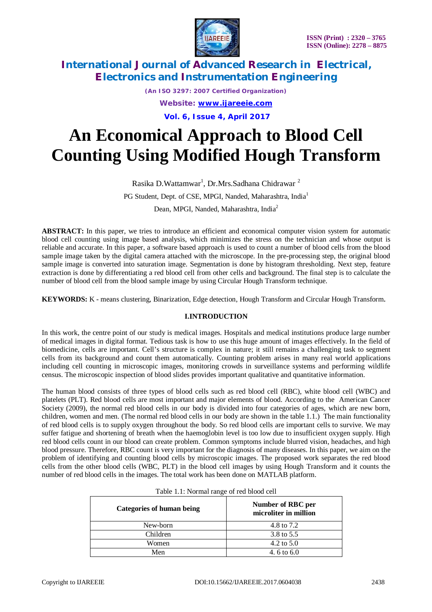

*(An ISO 3297: 2007 Certified Organization) Website: [www.ijareeie.com](http://www.ijareeie.com)* **Vol. 6, Issue 4, April 2017**

# **An Economical Approach to Blood Cell Counting Using Modified Hough Transform**

Rasika D.Wattamwar<sup>1</sup>, Dr.Mrs.Sadhana Chidrawar <sup>2</sup>

PG Student, Dept. of CSE, MPGI, Nanded, Maharashtra, India<sup>1</sup>

Dean, MPGI, Nanded, Maharashtra, India<sup>2</sup>

**ABSTRACT:** In this paper, we tries to introduce an efficient and economical computer vision system for automatic blood cell counting using image based analysis, which minimizes the stress on the technician and whose output is reliable and accurate. In this paper, a software based approach is used to count a number of blood cells from the blood sample image taken by the digital camera attached with the microscope. In the pre-processing step, the original blood sample image is converted into saturation image. Segmentation is done by histogram thresholding. Next step, feature extraction is done by differentiating a red blood cell from other cells and background. The final step is to calculate the number of blood cell from the blood sample image by using Circular Hough Transform technique.

**KEYWORDS:** K - means clustering, Binarization, Edge detection, Hough Transform and Circular Hough Transform.

#### **I.INTRODUCTION**

In this work, the centre point of our study is medical images. Hospitals and medical institutions produce large number of medical images in digital format. Tedious task is how to use this huge amount of images effectively. In the field of biomedicine, cells are important. Cell's structure is complex in nature; it still remains a challenging task to segment cells from its background and count them automatically. Counting problem arises in many real world applications including cell counting in microscopic images, monitoring crowds in surveillance systems and performing wildlife census. The microscopic inspection of blood slides provides important qualitative and quantitative information.

The human blood consists of three types of blood cells such as red blood cell (RBC), white blood cell (WBC) and platelets (PLT). Red blood cells are most important and major elements of blood. According to the American Cancer Society (2009), the normal red blood cells in our body is divided into four categories of ages, which are new born, children, women and men. (The normal red blood cells in our body are shown in the table 1.1.) The main functionality of red blood cells is to supply oxygen throughout the body. So red blood cells are important cells to survive. We may suffer fatigue and shortening of breath when the haemoglobin level is too low due to insufficient oxygen supply. High red blood cells count in our blood can create problem. Common symptoms include blurred vision, headaches, and high blood pressure. Therefore, RBC count is very important for the diagnosis of many diseases. In this paper, we aim on the problem of identifying and counting blood cells by microscopic images. The proposed work separates the red blood cells from the other blood cells (WBC, PLT) in the blood cell images by using Hough Transform and it counts the number of red blood cells in the images. The total work has been done on MATLAB platform.

| Categories of human being | Number of RBC per<br>microliter in million |
|---------------------------|--------------------------------------------|
| New-born                  | 4.8 to 7.2                                 |
| Children                  | 3.8 to 5.5                                 |
| Women                     | 4.2 to $5.0$                               |
| Men                       | 4.6 to 6.0                                 |

| Table 1.1: Normal range of red blood cell |  |
|-------------------------------------------|--|
|-------------------------------------------|--|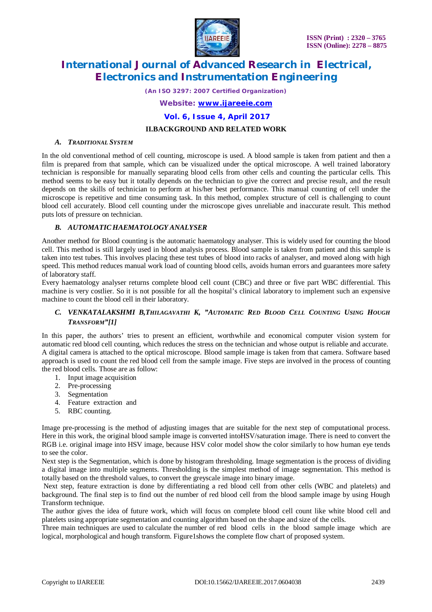

*(An ISO 3297: 2007 Certified Organization)*

*Website: [www.ijareeie.com](http://www.ijareeie.com)*

**Vol. 6, Issue 4, April 2017**

#### **II.BACKGROUND AND RELATED WORK**

#### *A. TRADITIONAL SYSTEM*

In the old conventional method of cell counting, microscope is used. A blood sample is taken from patient and then a film is prepared from that sample, which can be visualized under the optical microscope. A well trained laboratory technician is responsible for manually separating blood cells from other cells and counting the particular cells. This method seems to be easy but it totally depends on the technician to give the correct and precise result, and the result depends on the skills of technician to perform at his/her best performance. This manual counting of cell under the microscope is repetitive and time consuming task. In this method, complex structure of cell is challenging to count blood cell accurately. Blood cell counting under the microscope gives unreliable and inaccurate result. This method puts lots of pressure on technician.

#### *B. AUTOMATIC HAEMATOLOGY ANALYSER*

Another method for Blood counting is the automatic haematology analyser. This is widely used for counting the blood cell. This method is still largely used in blood analysis process. Blood sample is taken from patient and this sample is taken into test tubes. This involves placing these test tubes of blood into racks of analyser, and moved along with high speed. This method reduces manual work load of counting blood cells, avoids human errors and guarantees more safety of laboratory staff.

Every haematology analyser returns complete blood cell count (CBC) and three or five part WBC differential. This machine is very costlier. So it is not possible for all the hospital's clinical laboratory to implement such an expensive machine to count the blood cell in their laboratory.

#### *C. VENKATALAKSHMI B,THILAGAVATHI K, "AUTOMATIC RED BLOOD CELL COUNTING USING HOUGH TRANSFORM"[1]*

In this paper, the authors' tries to present an efficient, worthwhile and economical computer vision system for automatic red blood cell counting, which reduces the stress on the technician and whose output is reliable and accurate. A digital camera is attached to the optical microscope. Blood sample image is taken from that camera. Software based approach is used to count the red blood cell from the sample image. Five steps are involved in the process of counting the red blood cells. Those are as follow:

- 1. Input image acquisition
- 2. Pre-processing
- 3. Segmentation
- 4. Feature extraction and
- 5. RBC counting.

Image pre-processing is the method of adjusting images that are suitable for the next step of computational process. Here in this work, the original blood sample image is converted intoHSV/saturation image. There is need to convert the RGB i.e. original image into HSV image, because HSV color model show the color similarly to how human eye tends to see the color.

Next step is the Segmentation, which is done by histogram thresholding. Image segmentation is the process of dividing a digital image into multiple segments. Thresholding is the simplest method of image segmentation. This method is totally based on the threshold values, to convert the greyscale image into binary image.

Next step, feature extraction is done by differentiating a red blood cell from other cells (WBC and platelets) and background. The final step is to find out the number of red blood cell from the blood sample image by using Hough Transform technique.

The author gives the idea of future work, which will focus on complete blood cell count like white blood cell and platelets using appropriate segmentation and counting algorithm based on the shape and size of the cells.

Three main techniques are used to calculate the number of red blood cells in the blood sample image which are logical, morphological and hough transform. Figure1shows the complete flow chart of proposed system.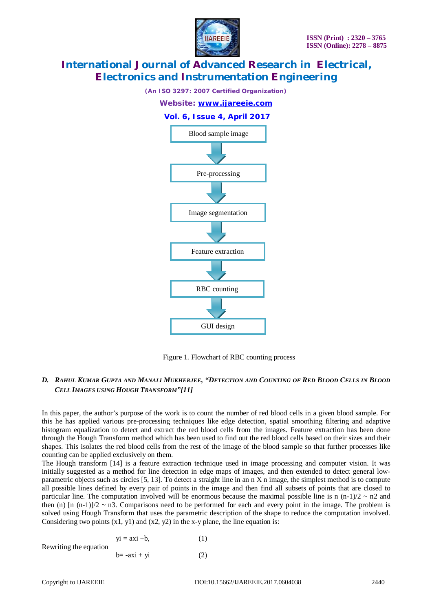

*(An ISO 3297: 2007 Certified Organization)*





Figure 1. Flowchart of RBC counting process

### D. RAHUL KUMAR GUPTA AND MANALI MUKHERJEE, "DETECTION AND COUNTING OF RED BLOOD CELLS IN BLOOD *CELL IMAGES USING HOUGH TRANSFORM"[11]*

In this paper, the author's purpose of the work is to count the number of red blood cells in a given blood sample. For this he has applied various pre-processing techniques like edge detection, spatial smoothing filtering and adaptive histogram equalization to detect and extract the red blood cells from the images. Feature extraction has been done through the Hough Transform method which has been used to find out the red blood cells based on their sizes and their shapes. This isolates the red blood cells from the rest of the image of the blood sample so that further processes like counting can be applied exclusively on them.

The Hough transform [14] is a feature extraction technique used in image processing and computer vision. It was initially suggested as a method for line detection in edge maps of images, and then extended to detect general lowparametric objects such as circles [5, 13]. To detect a straight line in an n X n image, the simplest method is to compute all possible lines defined by every pair of points in the image and then find all subsets of points that are closed to particular line. The computation involved will be enormous because the maximal possible line is n  $(n-1)/2 \sim n2$  and then (n)  $\lceil n (n-1) \rceil/2 \sim n$ 3. Comparisons need to be performed for each and every point in the image. The problem is solved using Hough Transform that uses the parametric description of the shape to reduce the computation involved. Considering two points  $(x1, y1)$  and  $(x2, y2)$  in the x-y plane, the line equation is:

$$
yi = axi +b,
$$
 (1)  
Rewriting the equation  

$$
b = -axi + yi
$$
 (2)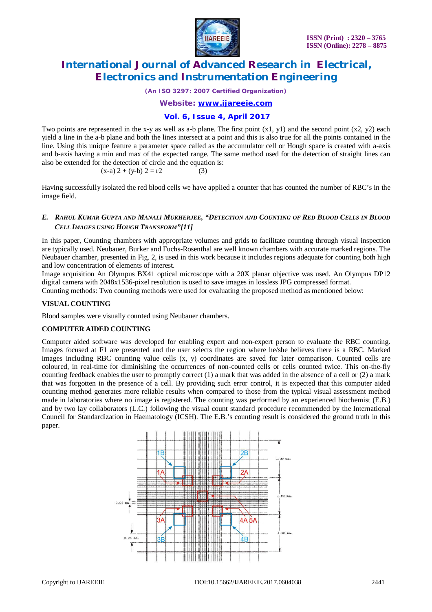

*(An ISO 3297: 2007 Certified Organization)*

*Website: [www.ijareeie.com](http://www.ijareeie.com)*

### **Vol. 6, Issue 4, April 2017**

Two points are represented in the x-y as well as a-b plane. The first point (x1, y1) and the second point (x2, y2) each yield a line in the a-b plane and both the lines intersect at a point and this is also true for all the points contained in the line. Using this unique feature a parameter space called as the accumulator cell or Hough space is created with a-axis and b-axis having a min and max of the expected range. The same method used for the detection of straight lines can also be extended for the detection of circle and the equation is:

$$
(x-a) 2 + (y-b) 2 = r2
$$
 (3)

Having successfully isolated the red blood cells we have applied a counter that has counted the number of RBC's in the image field.

#### E. RAHUL KUMAR GUPTA AND MANALI MUKHERJEE, "DETECTION AND COUNTING OF RED BLOOD CELLS IN BLOOD *CELL IMAGES USING HOUGH TRANSFORM"[11]*

In this paper, Counting chambers with appropriate volumes and grids to facilitate counting through visual inspection are typically used. Neubauer, Burker and Fuchs-Rosenthal are well known chambers with accurate marked regions. The Neubauer chamber, presented in Fig. 2, is used in this work because it includes regions adequate for counting both high and low concentration of elements of interest.

Image acquisition An Olympus BX41 optical microscope with a 20X planar objective was used. An Olympus DP12 digital camera with 2048x1536-pixel resolution is used to save images in lossless JPG compressed format.

Counting methods: Two counting methods were used for evaluating the proposed method as mentioned below:

#### **VISUAL COUNTING**

Blood samples were visually counted using Neubauer chambers.

#### **COMPUTER AIDED COUNTING**

Computer aided software was developed for enabling expert and non-expert person to evaluate the RBC counting. Images focused at F1 are presented and the user selects the region where he/she believes there is a RBC. Marked images including RBC counting value cells (x, y) coordinates are saved for later comparison. Counted cells are coloured, in real-time for diminishing the occurrences of non-counted cells or cells counted twice. This on-the-fly counting feedback enables the user to promptly correct (1) a mark that was added in the absence of a cell or (2) a mark that was forgotten in the presence of a cell. By providing such error control, it is expected that this computer aided counting method generates more reliable results when compared to those from the typical visual assessment method made in laboratories where no image is registered. The counting was performed by an experienced biochemist (E.B.) and by two lay collaborators (L.C.) following the visual count standard procedure recommended by the International Council for Standardization in Haematology (ICSH). The E.B.'s counting result is considered the ground truth in this paper.

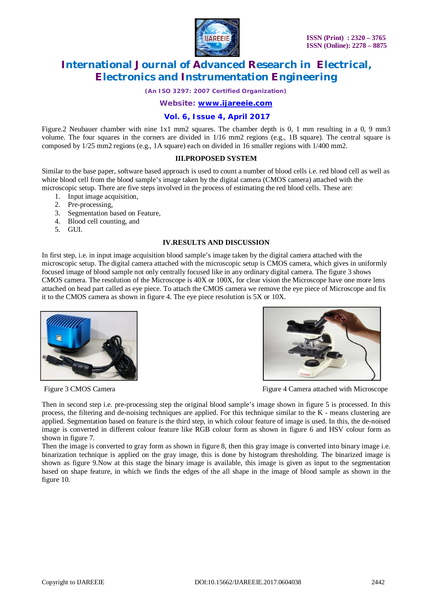

*(An ISO 3297: 2007 Certified Organization)*

*Website: [www.ijareeie.com](http://www.ijareeie.com)*

#### **Vol. 6, Issue 4, April 2017**

Figure.2 Neubauer chamber with nine 1x1 mm2 squares. The chamber depth is 0, 1 mm resulting in a 0, 9 mm3 volume. The four squares in the corners are divided in 1/16 mm2 regions (e.g., 1B square). The central square is composed by 1/25 mm2 regions (e.g., 1A square) each on divided in 16 smaller regions with 1/400 mm2.

#### **III.PROPOSED SYSTEM**

Similar to the base paper, software based approach is used to count a number of blood cells i.e. red blood cell as well as white blood cell from the blood sample's image taken by the digital camera (CMOS camera) attached with the microscopic setup. There are five steps involved in the process of estimating the red blood cells. These are:

- 1. Input image acquisition,
- 2. Pre-processing,
- 3. Segmentation based on Feature,
- 4. Blood cell counting, and
- 5. GUI.

#### **IV.RESULTS AND DISCUSSION**

In first step, i.e. in input image acquisition blood sample's image taken by the digital camera attached with the microscopic setup. The digital camera attached with the microscopic setup is CMOS camera, which gives in uniformly focused image of blood sample not only centrally focused like in any ordinary digital camera. The figure 3 shows CMOS camera. The resolution of the Microscope is 40X or 100X, for clear vision the Microscope have one more lens attached on head part called as eye piece. To attach the CMOS camera we remove the eye piece of Microscope and fix it to the CMOS camera as shown in figure 4. The eye piece resolution is 5X or 10X.





Figure 3 CMOS Camera **Figure 4** Camera attached with Microscope

Then in second step i.e. pre-processing step the original blood sample's image shown in figure 5 is processed. In this process, the filtering and de-noising techniques are applied. For this technique similar to the K - means clustering are applied. Segmentation based on feature is the third step, in which colour feature of image is used. In this, the de-noised image is converted in different colour feature like RGB colour form as shown in figure 6 and HSV colour form as shown in figure 7.

Then the image is converted to gray form as shown in figure 8, then this gray image is converted into binary image i.e. binarization technique is applied on the gray image, this is done by histogram thresholding. The binarized image is shown as figure 9.Now at this stage the binary image is available, this image is given as input to the segmentation based on shape feature, in which we finds the edges of the all shape in the image of blood sample as shown in the figure 10.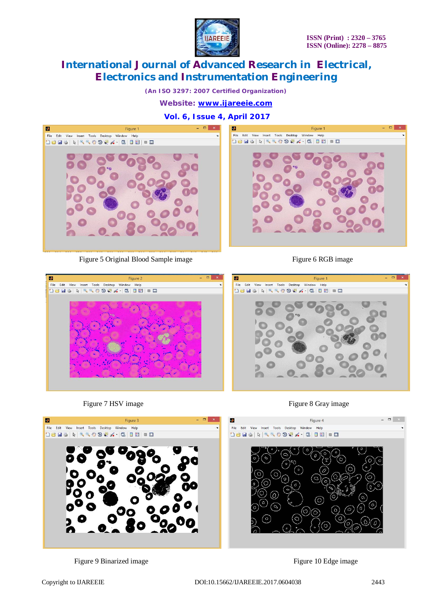

*(An ISO 3297: 2007 Certified Organization)*

*Website: [www.ijareeie.com](http://www.ijareeie.com)*

**Vol. 6, Issue 4, April 2017**



Figure 5 Original Blood Sample image Figure 6 RGB image







Figure 7 HSV image Figure 8 Gray image



Figure 9 Binarized image Figure 10 Edge image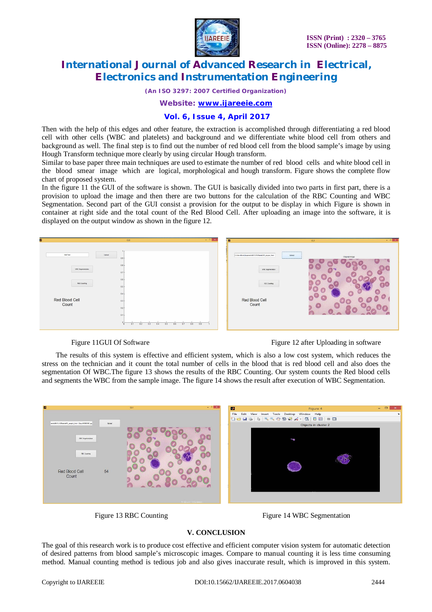

*(An ISO 3297: 2007 Certified Organization)*

*Website: [www.ijareeie.com](http://www.ijareeie.com)*

#### **Vol. 6, Issue 4, April 2017**

Then with the help of this edges and other feature, the extraction is accomplished through differentiating a red blood cell with other cells (WBC and platelets) and background and we differentiate white blood cell from others and background as well. The final step is to find out the number of red blood cell from the blood sample's image by using Hough Transform technique more clearly by using circular Hough transform.

Similar to base paper three main techniques are used to estimate the number of red blood cells and white blood cell in the blood smear image which are logical, morphological and hough transform. Figure shows the complete flow chart of proposed system.

In the figure 11 the GUI of the software is shown. The GUI is basically divided into two parts in first part, there is a provision to upload the image and then there are two buttons for the calculation of the RBC Counting and WBC Segmentation. Second part of the GUI consist a provision for the output to be display in which Figure is shown in container at right side and the total count of the Red Blood Cell. After uploading an image into the software, it is displayed on the output window as shown in the figure 12.



Figure 11GUI Of Software Figure 12 after Uploading in software

The results of this system is effective and efficient system, which is also a low cost system, which reduces the stress on the technician and it count the total number of cells in the blood that is red blood cell and also does the segmentation Of WBC.The figure 13 shows the results of the RBC Counting. Our system counts the Red blood cells and segments the WBC from the sample image. The figure 14 shows the result after execution of WBC Segmentation.





#### **V. CONCLUSION**

The goal of this research work is to produce cost effective and efficient computer vision system for automatic detection of desired patterns from blood sample's microscopic images. Compare to manual counting it is less time consuming method. Manual counting method is tedious job and also gives inaccurate result, which is improved in this system.